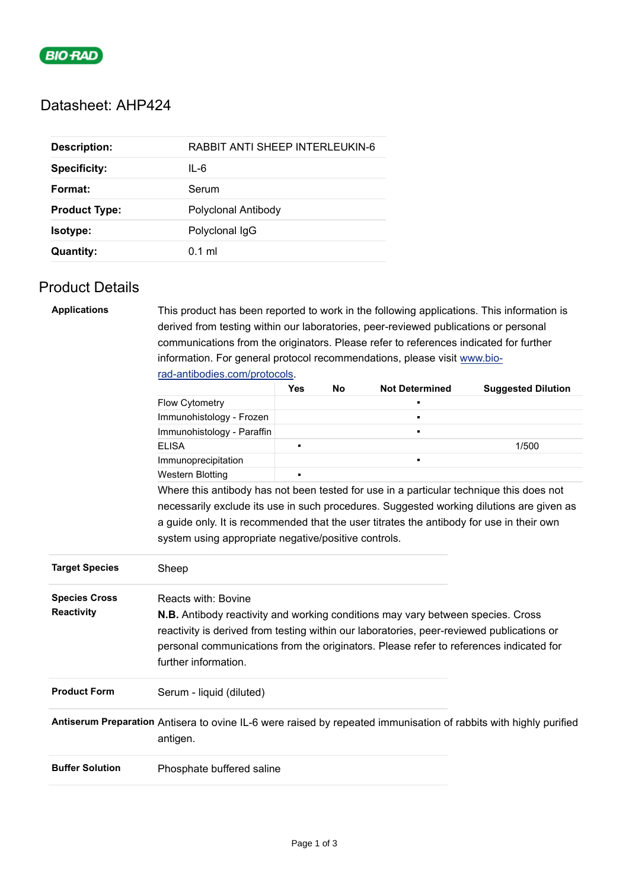

# Datasheet: AHP424

| <b>Description:</b>  | RABBIT ANTI SHEEP INTERLEUKIN-6 |
|----------------------|---------------------------------|
| <b>Specificity:</b>  | IL-6                            |
| Format:              | Serum                           |
| <b>Product Type:</b> | Polyclonal Antibody             |
| Isotype:             | Polyclonal IgG                  |
| <b>Quantity:</b>     | $0.1$ ml                        |

# Product Details

| <b>Applications</b>    |                                                                                                                   | This product has been reported to work in the following applications. This information is |    |                       |                           |  |  |
|------------------------|-------------------------------------------------------------------------------------------------------------------|-------------------------------------------------------------------------------------------|----|-----------------------|---------------------------|--|--|
|                        | derived from testing within our laboratories, peer-reviewed publications or personal                              |                                                                                           |    |                       |                           |  |  |
|                        | communications from the originators. Please refer to references indicated for further                             |                                                                                           |    |                       |                           |  |  |
|                        | information. For general protocol recommendations, please visit www.bio-                                          |                                                                                           |    |                       |                           |  |  |
|                        | rad-antibodies.com/protocols.                                                                                     |                                                                                           |    |                       |                           |  |  |
|                        |                                                                                                                   | Yes                                                                                       | No | <b>Not Determined</b> | <b>Suggested Dilution</b> |  |  |
|                        | Flow Cytometry                                                                                                    |                                                                                           |    |                       |                           |  |  |
|                        | Immunohistology - Frozen                                                                                          |                                                                                           |    |                       |                           |  |  |
|                        | Immunohistology - Paraffin                                                                                        |                                                                                           |    |                       |                           |  |  |
|                        | <b>ELISA</b>                                                                                                      | $\blacksquare$                                                                            |    |                       | 1/500                     |  |  |
|                        | Immunoprecipitation                                                                                               |                                                                                           |    |                       |                           |  |  |
|                        | <b>Western Blotting</b>                                                                                           |                                                                                           |    |                       |                           |  |  |
|                        | Where this antibody has not been tested for use in a particular technique this does not                           |                                                                                           |    |                       |                           |  |  |
|                        | necessarily exclude its use in such procedures. Suggested working dilutions are given as                          |                                                                                           |    |                       |                           |  |  |
|                        | a guide only. It is recommended that the user titrates the antibody for use in their own                          |                                                                                           |    |                       |                           |  |  |
|                        | system using appropriate negative/positive controls.                                                              |                                                                                           |    |                       |                           |  |  |
|                        |                                                                                                                   |                                                                                           |    |                       |                           |  |  |
| <b>Target Species</b>  | Sheep                                                                                                             |                                                                                           |    |                       |                           |  |  |
|                        |                                                                                                                   |                                                                                           |    |                       |                           |  |  |
| <b>Species Cross</b>   | Reacts with: Bovine                                                                                               |                                                                                           |    |                       |                           |  |  |
| Reactivity             | <b>N.B.</b> Antibody reactivity and working conditions may vary between species. Cross                            |                                                                                           |    |                       |                           |  |  |
|                        | reactivity is derived from testing within our laboratories, peer-reviewed publications or                         |                                                                                           |    |                       |                           |  |  |
|                        | personal communications from the originators. Please refer to references indicated for                            |                                                                                           |    |                       |                           |  |  |
|                        | further information.                                                                                              |                                                                                           |    |                       |                           |  |  |
|                        |                                                                                                                   |                                                                                           |    |                       |                           |  |  |
| <b>Product Form</b>    | Serum - liquid (diluted)                                                                                          |                                                                                           |    |                       |                           |  |  |
|                        |                                                                                                                   |                                                                                           |    |                       |                           |  |  |
|                        | Antiserum Preparation Antisera to ovine IL-6 were raised by repeated immunisation of rabbits with highly purified |                                                                                           |    |                       |                           |  |  |
|                        | antigen.                                                                                                          |                                                                                           |    |                       |                           |  |  |
|                        |                                                                                                                   |                                                                                           |    |                       |                           |  |  |
| <b>Buffer Solution</b> | Phosphate buffered saline                                                                                         |                                                                                           |    |                       |                           |  |  |
|                        |                                                                                                                   |                                                                                           |    |                       |                           |  |  |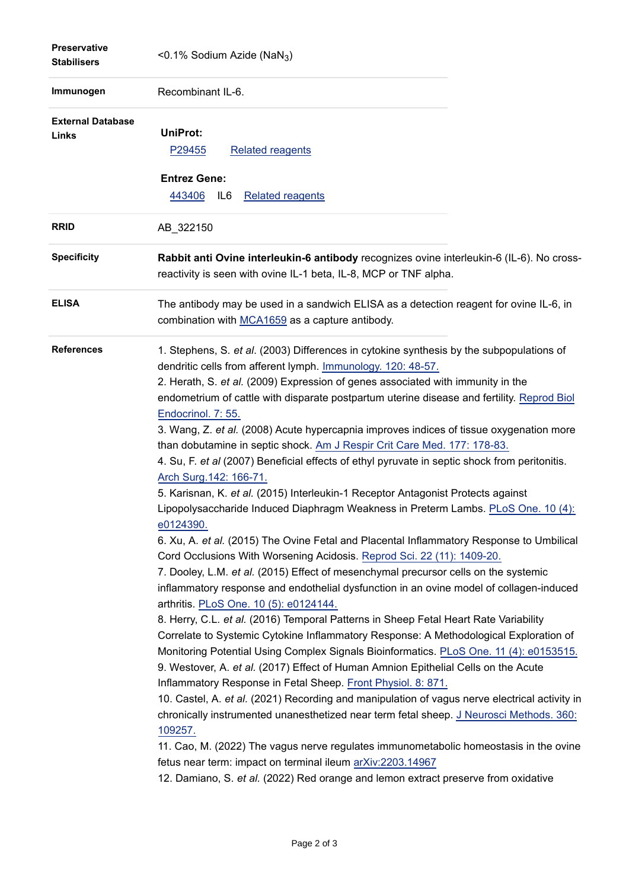| <b>Preservative</b><br><b>Stabilisers</b> | <0.1% Sodium Azide (NaN <sub>3</sub> )                                                                                                                                                                                                                                                                                                                                                                                                                                                                                                                                                                                                                                                                                                                                                                                                                                                                                                                                                                                                                                                                                                                                                                                                                                                                                                                                                                                                                                                                                                                                                                                                                                                                                                                                                                                                                                                                                                                                                                                                                                                                                                          |
|-------------------------------------------|-------------------------------------------------------------------------------------------------------------------------------------------------------------------------------------------------------------------------------------------------------------------------------------------------------------------------------------------------------------------------------------------------------------------------------------------------------------------------------------------------------------------------------------------------------------------------------------------------------------------------------------------------------------------------------------------------------------------------------------------------------------------------------------------------------------------------------------------------------------------------------------------------------------------------------------------------------------------------------------------------------------------------------------------------------------------------------------------------------------------------------------------------------------------------------------------------------------------------------------------------------------------------------------------------------------------------------------------------------------------------------------------------------------------------------------------------------------------------------------------------------------------------------------------------------------------------------------------------------------------------------------------------------------------------------------------------------------------------------------------------------------------------------------------------------------------------------------------------------------------------------------------------------------------------------------------------------------------------------------------------------------------------------------------------------------------------------------------------------------------------------------------------|
| Immunogen                                 | Recombinant IL-6.                                                                                                                                                                                                                                                                                                                                                                                                                                                                                                                                                                                                                                                                                                                                                                                                                                                                                                                                                                                                                                                                                                                                                                                                                                                                                                                                                                                                                                                                                                                                                                                                                                                                                                                                                                                                                                                                                                                                                                                                                                                                                                                               |
| <b>External Database</b><br>Links         | UniProt:<br><b>Related reagents</b><br>P <sub>29455</sub><br><b>Entrez Gene:</b>                                                                                                                                                                                                                                                                                                                                                                                                                                                                                                                                                                                                                                                                                                                                                                                                                                                                                                                                                                                                                                                                                                                                                                                                                                                                                                                                                                                                                                                                                                                                                                                                                                                                                                                                                                                                                                                                                                                                                                                                                                                                |
| <b>RRID</b>                               | 443406<br>IL6<br><b>Related reagents</b>                                                                                                                                                                                                                                                                                                                                                                                                                                                                                                                                                                                                                                                                                                                                                                                                                                                                                                                                                                                                                                                                                                                                                                                                                                                                                                                                                                                                                                                                                                                                                                                                                                                                                                                                                                                                                                                                                                                                                                                                                                                                                                        |
|                                           | AB_322150                                                                                                                                                                                                                                                                                                                                                                                                                                                                                                                                                                                                                                                                                                                                                                                                                                                                                                                                                                                                                                                                                                                                                                                                                                                                                                                                                                                                                                                                                                                                                                                                                                                                                                                                                                                                                                                                                                                                                                                                                                                                                                                                       |
| <b>Specificity</b>                        | Rabbit anti Ovine interleukin-6 antibody recognizes ovine interleukin-6 (IL-6). No cross-<br>reactivity is seen with ovine IL-1 beta, IL-8, MCP or TNF alpha.                                                                                                                                                                                                                                                                                                                                                                                                                                                                                                                                                                                                                                                                                                                                                                                                                                                                                                                                                                                                                                                                                                                                                                                                                                                                                                                                                                                                                                                                                                                                                                                                                                                                                                                                                                                                                                                                                                                                                                                   |
| <b>ELISA</b>                              | The antibody may be used in a sandwich ELISA as a detection reagent for ovine IL-6, in<br>combination with MCA1659 as a capture antibody.                                                                                                                                                                                                                                                                                                                                                                                                                                                                                                                                                                                                                                                                                                                                                                                                                                                                                                                                                                                                                                                                                                                                                                                                                                                                                                                                                                                                                                                                                                                                                                                                                                                                                                                                                                                                                                                                                                                                                                                                       |
| <b>References</b>                         | 1. Stephens, S. et al. (2003) Differences in cytokine synthesis by the subpopulations of<br>dendritic cells from afferent lymph. Immunology. 120: 48-57.<br>2. Herath, S. et al. (2009) Expression of genes associated with immunity in the<br>endometrium of cattle with disparate postpartum uterine disease and fertility. Reprod Biol<br>Endocrinol. 7: 55.<br>3. Wang, Z. et al. (2008) Acute hypercapnia improves indices of tissue oxygenation more<br>than dobutamine in septic shock. Am J Respir Crit Care Med. 177: 178-83.<br>4. Su, F. et al (2007) Beneficial effects of ethyl pyruvate in septic shock from peritonitis.<br>Arch Surg. 142: 166-71.<br>5. Karisnan, K. et al. (2015) Interleukin-1 Receptor Antagonist Protects against<br>Lipopolysaccharide Induced Diaphragm Weakness in Preterm Lambs. PLoS One. 10 (4):<br>e0124390.<br>6. Xu, A. et al. (2015) The Ovine Fetal and Placental Inflammatory Response to Umbilical<br>Cord Occlusions With Worsening Acidosis. Reprod Sci. 22 (11): 1409-20.<br>7. Dooley, L.M. et al. (2015) Effect of mesenchymal precursor cells on the systemic<br>inflammatory response and endothelial dysfunction in an ovine model of collagen-induced<br>arthritis. PLoS One. 10 (5): e0124144.<br>8. Herry, C.L. et al. (2016) Temporal Patterns in Sheep Fetal Heart Rate Variability<br>Correlate to Systemic Cytokine Inflammatory Response: A Methodological Exploration of<br>Monitoring Potential Using Complex Signals Bioinformatics. PLoS One. 11 (4): e0153515.<br>9. Westover, A. et al. (2017) Effect of Human Amnion Epithelial Cells on the Acute<br>Inflammatory Response in Fetal Sheep. Front Physiol. 8: 871.<br>10. Castel, A. et al. (2021) Recording and manipulation of vagus nerve electrical activity in<br>chronically instrumented unanesthetized near term fetal sheep. J Neurosci Methods. 360:<br>109257.<br>11. Cao, M. (2022) The vagus nerve regulates immunometabolic homeostasis in the ovine<br>fetus near term: impact on terminal ileum arXiv:2203.14967<br>12. Damiano, S. et al. (2022) Red orange and lemon extract preserve from oxidative |